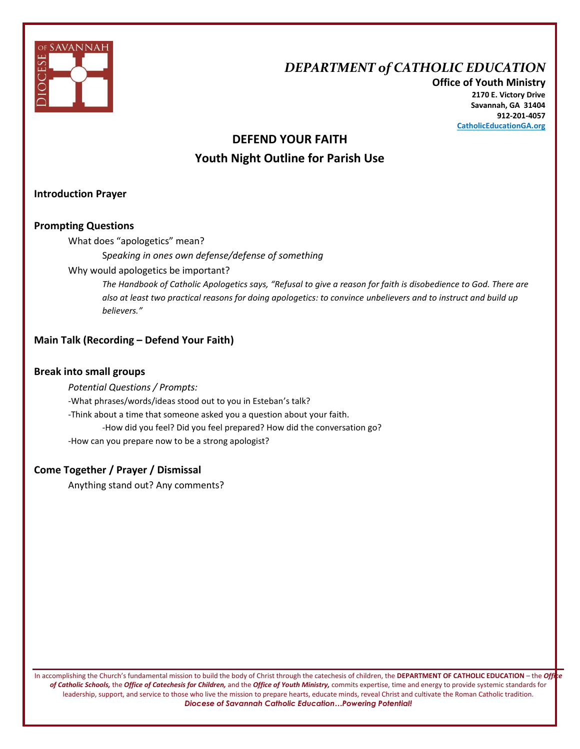

# *DEPARTMENT of CATHOLIC EDUCATION*

**Office of Youth Ministry 2170 E. Victory Drive Savannah, GA 31404 912-201-4057 CatholicEducationGA.org**

# **DEFEND YOUR FAITH Youth Night Outline for Parish Use**

## **Introduction Prayer**

### **Prompting Questions**

What does "apologetics" mean?

S*peaking in ones own defense/defense of something*

Why would apologetics be important?

*The Handbook of Catholic Apologetics says, "Refusal to give a reason for faith is disobedience to God. There are also at least two practical reasons for doing apologetics: to convince unbelievers and to instruct and build up believers."*

### **Main Talk (Recording – Defend Your Faith)**

#### **Break into small groups**

*Potential Questions / Prompts:* -What phrases/words/ideas stood out to you in Esteban's talk? -Think about a time that someone asked you a question about your faith. -How did you feel? Did you feel prepared? How did the conversation go? -How can you prepare now to be a strong apologist?

### **Come Together / Prayer / Dismissal**

Anything stand out? Any comments?

In accomplishing the Church's fundamental mission to build the body of Christ through the catechesis of children, the **DEPARTMENT OF CATHOLIC EDUCATION** – the *Office of Catholic Schools,* the *Office of Catechesis for Children,* and the *Office of Youth Ministry,* commits expertise, time and energy to provide systemic standards for leadership, support, and service to those who live the mission to prepare hearts, educate minds, reveal Christ and cultivate the Roman Catholic tradition. *Diocese of Savannah Catholic Education…Powering Potential!*